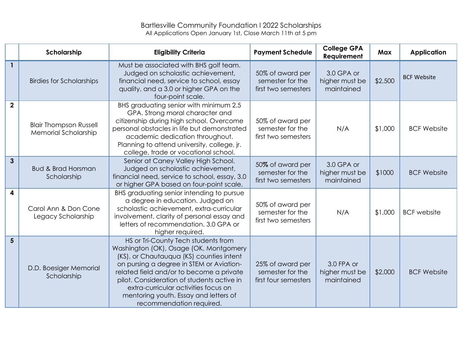## Bartlesville Community Foundation l 2022 Scholarships All Applications Open January 1st, Close March 11th at 5 pm

|                | Scholarship                                                  | <b>Eligibility Criteria</b>                                                                                                                                                                                                                                                                                                                                                  | <b>Payment Schedule</b>                                      | <b>College GPA</b><br>Requirement          | <b>Max</b> | <b>Application</b> |
|----------------|--------------------------------------------------------------|------------------------------------------------------------------------------------------------------------------------------------------------------------------------------------------------------------------------------------------------------------------------------------------------------------------------------------------------------------------------------|--------------------------------------------------------------|--------------------------------------------|------------|--------------------|
| $\mathbf{1}$   | <b>Birdies for Scholarships</b>                              | Must be associated with BHS golf team.<br>Judged on scholastic achievement,<br>financial need, service to school, essay<br>quality, and a 3.0 or higher GPA on the<br>four-point scale.                                                                                                                                                                                      | 50% of award per<br>semester for the<br>first two semesters  | 3.0 GPA or<br>higher must be<br>maintained | \$2,500    | <b>BCF Website</b> |
| $\mathbf{2}$   | <b>Blair Thompson Russell</b><br><b>Memorial Scholarship</b> | BHS graduating senior with minimum 2.5<br>GPA. Strong moral character and<br>citizenship during high school. Overcome<br>personal obstacles in life but demonstrated<br>academic dedication throughout.<br>Planning to attend university, college, jr.<br>college, trade or vocational school.                                                                               | 50% of award per<br>semester for the<br>first two semesters  | N/A                                        | \$1,000    | <b>BCF Website</b> |
| $\mathbf{3}$   | <b>Bud &amp; Brad Horsman</b><br>Scholarship                 | Senior at Caney Valley High School.<br>Judged on scholastic achievement,<br>financial need, service to school, essay, 3.0<br>or higher GPA based on four-point scale.                                                                                                                                                                                                        | 50% of award per<br>semester for the<br>first two semesters  | 3.0 GPA or<br>higher must be<br>maintained | \$1000     | <b>BCF Website</b> |
| 4              | Carol Ann & Don Cone<br>Legacy Scholarship                   | BHS graduating senior intending to pursue<br>a degree in education. Judged on<br>scholastic achievement, extra-curricular<br>involvement, clarity of personal essay and<br>letters of recommendation, 3.0 GPA or<br>higher required.                                                                                                                                         | 50% of award per<br>semester for the<br>first two semesters  | N/A                                        | \$1,000    | <b>BCF</b> website |
| 5 <sup>5</sup> | D.D. Boesiger Memorial<br>Scholarship                        | HS or Tri-County Tech students from<br>Washington (OK), Osage (OK, Montgomery<br>(KS), or Chautauqua (KS) counties intent<br>on pursing a degree in STEM or Aviation-<br>related field and/or to become a private<br>pilot. Consideration of students active in<br>extra-curricular activities focus on<br>mentoring youth. Essay and letters of<br>recommendation required. | 25% of award per<br>semester for the<br>first four semesters | 3.0 FPA or<br>higher must be<br>maintained | \$2,000    | <b>BCF Website</b> |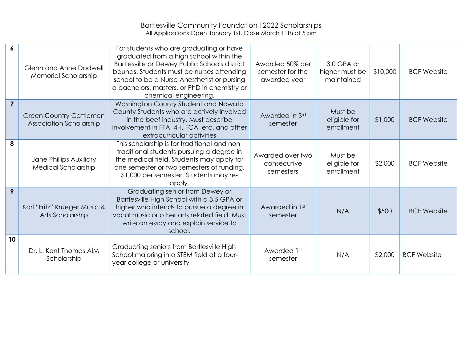## Bartlesville Community Foundation l 2022 Scholarships All Applications Open January 1st, Close March 11th at 5 pm

| 6              | <b>Glenn and Anne Dodwell</b><br><b>Memorial Scholarship</b> | For students who are graduating or have<br>graduated from a high school within the<br>Bartlesville or Dewey Public Schools district<br>bounds. Students must be nurses attending<br>school to be a Nurse Anesthetist or pursing<br>a bachelors, masters, or PhD in chemistry or<br>chemical engineering. | Awarded 50% per<br>semester for the<br>awarded year | 3.0 GPA or<br>higher must be<br>maintained | \$10,000 | <b>BCF Website</b> |
|----------------|--------------------------------------------------------------|----------------------------------------------------------------------------------------------------------------------------------------------------------------------------------------------------------------------------------------------------------------------------------------------------------|-----------------------------------------------------|--------------------------------------------|----------|--------------------|
| $\overline{7}$ | <b>Green Country Cattlemen</b><br>Association Scholarship    | Washington County Student and Nowata<br>County Students who are actively involved<br>in the beef industry. Must describe<br>involvement in FFA, 4H, FCA, etc. and other<br>extracurricular activities                                                                                                    | Awarded in 3rd<br>semester                          | Must be<br>eligible for<br>enrollment      | \$1,000  | <b>BCF Website</b> |
| 8              | Jane Phillips Auxiliary<br>Medical Scholarship               | This scholarship is for traditional and non-<br>traditional students pursuing a degree in<br>the medical field. Students may apply for<br>one semester or two semesters of funding.<br>\$1,000 per semester. Students may re-<br>apply.                                                                  | Awarded over two<br>consecutive<br>semesters        | Must be<br>eligible for<br>enrollment      | \$2,000  | <b>BCF Website</b> |
| 9              | Karl "Fritz" Krueger Music &<br>Arts Scholarship             | Graduating senior from Dewey or<br>Bartlesville High School with a 3.5 GPA or<br>higher who intends to pursue a degree in<br>vocal music or other arts related field. Must<br>write an essay and explain service to<br>school.                                                                           | Awarded in 1st<br>semester                          | N/A                                        | \$500    | <b>BCF Website</b> |
| 10             | Dr. L. Kent Thomas AIM<br>Scholarship                        | Graduating seniors from Bartlesville High<br>School majoring in a STEM field at a four-<br>year college or university                                                                                                                                                                                    | Awarded 1st<br>semester                             | N/A                                        | \$2,000  | <b>BCF Website</b> |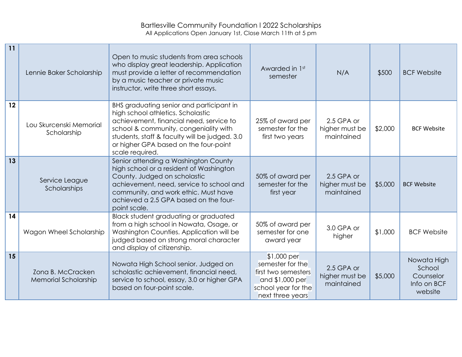## Bartlesville Community Foundation l 2022 Scholarships All Applications Open January 1st, Close March 11th at 5 pm

| 11 | Lennie Baker Scholarship                  | Open to music students from area schools<br>who display great leadership. Application<br>must provide a letter of recommendation<br>by a music teacher or private music<br>instructor, write three short essays.                                                               | Awarded in 1st<br>semester                                                                                           | N/A                                        | \$500   | <b>BCF Website</b>                                           |
|----|-------------------------------------------|--------------------------------------------------------------------------------------------------------------------------------------------------------------------------------------------------------------------------------------------------------------------------------|----------------------------------------------------------------------------------------------------------------------|--------------------------------------------|---------|--------------------------------------------------------------|
| 12 | Lou Skurcenski Memorial<br>Scholarship    | BHS graduating senior and participant in<br>high school athletics. Scholastic<br>achievement, financial need, service to<br>school & community, congeniality with<br>students, staff & faculty will be judged. 3.0<br>or higher GPA based on the four-point<br>scale required. | 25% of award per<br>semester for the<br>first two years                                                              | 2.5 GPA or<br>higher must be<br>maintained | \$2,000 | <b>BCF Website</b>                                           |
| 13 | Service League<br>Scholarships            | Senior attending a Washington County<br>high school or a resident of Washington<br>County. Judged on scholastic<br>achievement, need, service to school and<br>community, and work ethic. Must have<br>achieved a 2.5 GPA based on the four-<br>point scale.                   | 50% of award per<br>semester for the<br>first year                                                                   | 2.5 GPA or<br>higher must be<br>maintained | \$5,000 | <b>BCF Website</b>                                           |
| 14 | Wagon Wheel Scholarship                   | Black student graduating or graduated<br>from a high school in Nowata, Osage, or<br>Washington Counties. Application will be<br>judged based on strong moral character<br>and display of citizenship.                                                                          | 50% of award per<br>semester for one<br>award year                                                                   | 3.0 GPA or<br>higher                       | \$1,000 | <b>BCF Website</b>                                           |
| 15 | Zona B. McCracken<br>Memorial Scholarship | Nowata High School senior. Judged on<br>scholastic achievement, financial need,<br>service to school, essay, 3.0 or higher GPA<br>based on four-point scale.                                                                                                                   | \$1,000 per<br>semester for the<br>first two semesters<br>and \$1,000 per<br>school year for the<br>next three years | 2.5 GPA or<br>higher must be<br>maintained | \$5,000 | Nowata High<br>School<br>Counselor<br>Info on BCF<br>website |